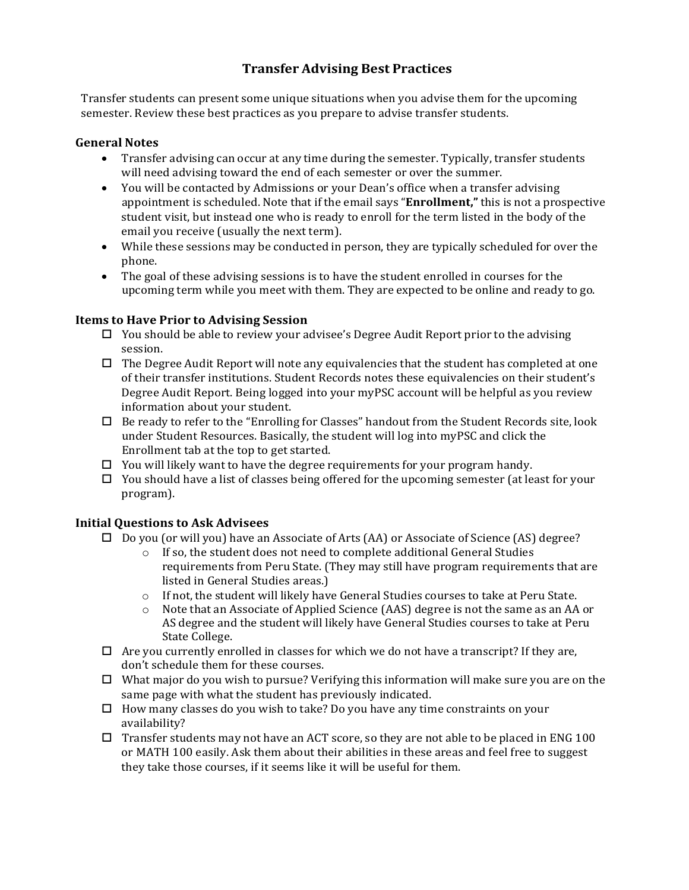# **Transfer Advising Best Practices**

Transfer students can present some unique situations when you advise them for the upcoming semester. Review these best practices as you prepare to advise transfer students.

#### **General Notes**

- Transfer advising can occur at any time during the semester. Typically, transfer students will need advising toward the end of each semester or over the summer.
- You will be contacted by Admissions or your Dean's office when a transfer advising appointment is scheduled. Note that if the email says "**Enrollment,"** this is not a prospective student visit, but instead one who is ready to enroll for the term listed in the body of the email you receive (usually the next term).
- While these sessions may be conducted in person, they are typically scheduled for over the phone.
- The goal of these advising sessions is to have the student enrolled in courses for the upcoming term while you meet with them. They are expected to be online and ready to go.

#### **Items to Have Prior to Advising Session**

- You should be able to review your advisee's Degree Audit Report prior to the advising session.
- $\Box$  The Degree Audit Report will note any equivalencies that the student has completed at one of their transfer institutions. Student Records notes these equivalencies on their student's Degree Audit Report. Being logged into your myPSC account will be helpful as you review information about your student.
- $\Box$  Be ready to refer to the "Enrolling for Classes" handout from the Student Records site, look under Student Resources. Basically, the student will log into myPSC and click the Enrollment tab at the top to get started.
- $\Box$  You will likely want to have the degree requirements for your program handy.
- $\Box$  You should have a list of classes being offered for the upcoming semester (at least for your program).

#### **Initial Questions to Ask Advisees**

- Do you (or will you) have an Associate of Arts (AA) or Associate of Science (AS) degree?
	- $\circ$  If so, the student does not need to complete additional General Studies requirements from Peru State. (They may still have program requirements that are listed in General Studies areas.)
	- $\circ$  If not, the student will likely have General Studies courses to take at Peru State.<br>  $\circ$  Note that an Associate of Applied Science (AAS) degree is not the same as an AA
	- Note that an Associate of Applied Science (AAS) degree is not the same as an AA or AS degree and the student will likely have General Studies courses to take at Peru State College.
- $\Box$  Are you currently enrolled in classes for which we do not have a transcript? If they are, don't schedule them for these courses.
- $\Box$  What major do you wish to pursue? Verifying this information will make sure you are on the same page with what the student has previously indicated.
- $\Box$  How many classes do you wish to take? Do you have any time constraints on your availability?
- $\Box$  Transfer students may not have an ACT score, so they are not able to be placed in ENG 100 or MATH 100 easily. Ask them about their abilities in these areas and feel free to suggest they take those courses, if it seems like it will be useful for them.